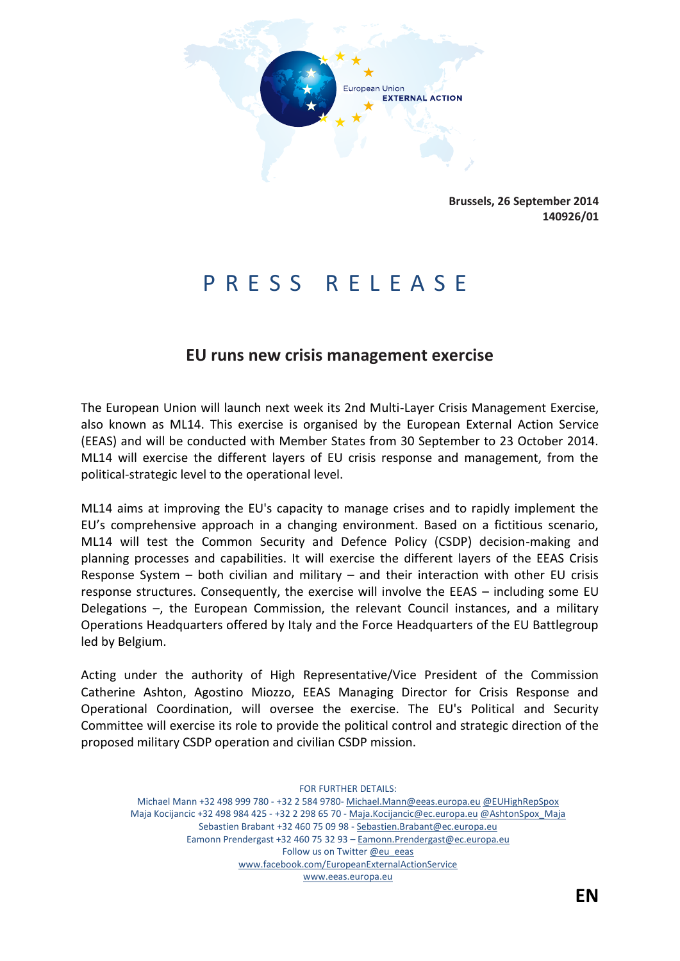

**Brussels, 26 September 2014 140926/01**

## P R E S S R E L E A S E

## **EU runs new crisis management exercise**

The European Union will launch next week its 2nd Multi-Layer Crisis Management Exercise, also known as ML14. This exercise is organised by the European External Action Service (EEAS) and will be conducted with Member States from 30 September to 23 October 2014. ML14 will exercise the different layers of EU crisis response and management, from the political-strategic level to the operational level.

ML14 aims at improving the EU's capacity to manage crises and to rapidly implement the EU's comprehensive approach in a changing environment. Based on a fictitious scenario, ML14 will test the Common Security and Defence Policy (CSDP) decision-making and planning processes and capabilities. It will exercise the different layers of the EEAS Crisis Response System  $-$  both civilian and military  $-$  and their interaction with other EU crisis response structures. Consequently, the exercise will involve the EEAS – including some EU Delegations –, the European Commission, the relevant Council instances, and a military Operations Headquarters offered by Italy and the Force Headquarters of the EU Battlegroup led by Belgium.

Acting under the authority of High Representative/Vice President of the Commission Catherine Ashton, Agostino Miozzo, EEAS Managing Director for Crisis Response and Operational Coordination, will oversee the exercise. The EU's Political and Security Committee will exercise its role to provide the political control and strategic direction of the proposed military CSDP operation and civilian CSDP mission.

FOR FURTHER DETAILS: Michael Mann +32 498 999 780 - +32 2 584 9780- Michael.Mann@eeas.europa.eu @EUHighRepSpox Maja Kocijancic +32 498 984 425 - +32 2 298 65 70 - Maja.Kocijancic@ec.europa.eu @AshtonSpox\_Maja Sebastien Brabant +32 460 75 09 98 - Sebastien.Brabant@ec.europa.eu Eamonn Prendergast +32 460 75 32 93 – Eamonn.Prendergast@ec.europa.eu Follow us on Twitter @eu\_eeas www.facebook.com/EuropeanExternalActionService www.eeas.europa.eu